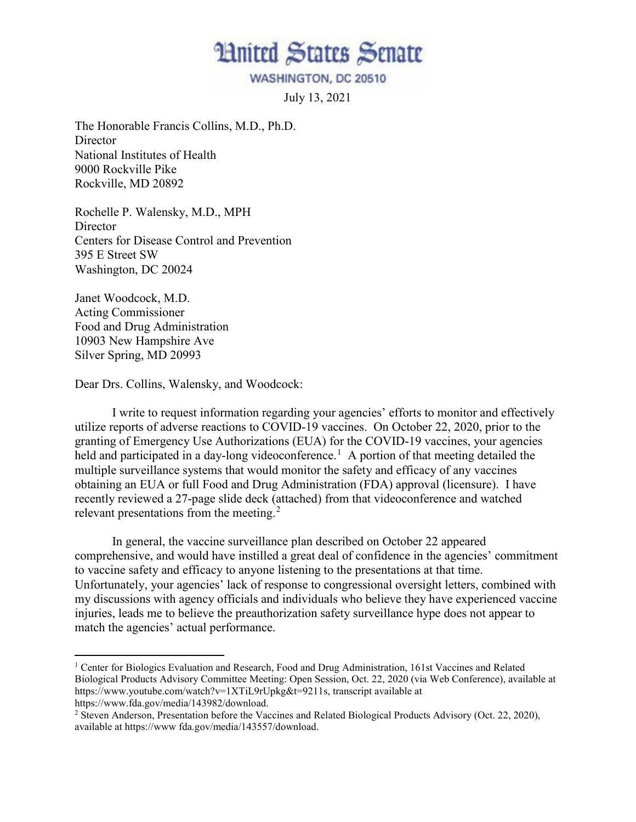**Hnited States Senate** 

WASHINGTON, DC 20510

July 13, 2021

The Honorable Francis Collins, M.D., Ph.D. **Director** National Institutes of Health 9000 Rockville Pike Rockville, MD 20892

Rochelle P. Walensky, M.D., MPH **Director** Centers for Disease Control and Prevention 395 E Street SW Washington, DC 20024

Janet Woodcock, M.D. Acting Commissioner Food and Drug Administration 10903 New Hampshire Ave Silver Spring, MD 20993

Dear Drs. Collins, Walensky, and Woodcock:

I write to request information regarding your agencies' efforts to monitor and effectively utilize reports of adverse reactions to COVID-19 vaccines. On October 22, 2020, prior to the granting of Emergency Use Authorizations (EUA) for the COVID-19 vaccines, your agencies held and participated in a day-long videoconference.<sup>1</sup> A portion of that meeting detailed the multiple surveillance systems that would monitor the safety and efficacy of any vaccines obtaining an EUA or full Food and Drug Administration (FDA) approval (licensure). I have recently reviewed a 27-page slide deck (attached) from that videoconference and watched relevant presentations from the meeting.<sup>2</sup>

In general, the vaccine surveillance plan described on October 22 appeared comprehensive, and would have instilled a great deal of confidence in the agencies' commitment to vaccine safety and efficacy to anyone listening to the presentations at that time. Unfortunately, your agencies' lack of response to congressional oversight letters, combined with my discussions with agency officials and individuals who believe they have experienced vaccine injuries, leads me to believe the preauthorization safety surveillance hype does not appear to match the agencies' actual performance.

<sup>&</sup>lt;sup>1</sup> Center for Biologics Evaluation and Research, Food and Drug Administration, 161st Vaccines and Related Biological Products Advisory Committee Meeting: Open Session, Oct. 22, 2020 (via Web Conference), available at https://www.youtube.com/watch?v=1XTiL9rUpkg&t=9211s, transcript available at

https://www.fda.gov/media/143982/download.

<sup>&</sup>lt;sup>2</sup> Steven Anderson, Presentation before the Vaccines and Related Biological Products Advisory (Oct. 22, 2020), available at https://www fda.gov/media/143557/download.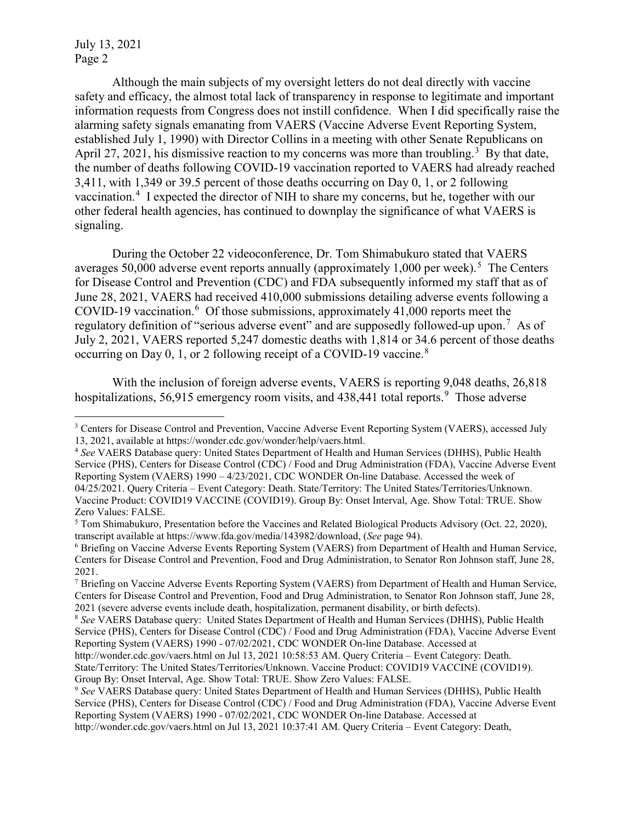July 13, 2021 Page 2

Although the main subjects of my oversight letters do not deal directly with vaccine safety and efficacy, the almost total lack of transparency in response to legitimate and important information requests from Congress does not instill confidence. When I did specifically raise the alarming safety signals emanating from VAERS (Vaccine Adverse Event Reporting System, established July 1, 1990) with Director Collins in a meeting with other Senate Republicans on April 27, 2021, his dismissive reaction to my concerns was more than troubling.<sup>3</sup> By that date, the number of deaths following COVID-19 vaccination reported to VAERS had already reached 3,411, with 1,349 or 39.5 percent of those deaths occurring on Day 0, 1, or 2 following vaccination.<sup>4</sup> I expected the director of NIH to share my concerns, but he, together with our other federal health agencies, has continued to downplay the significance of what VAERS is signaling.

During the October 22 videoconference, Dr. Tom Shimabukuro stated that VAERS averages 50,000 adverse event reports annually (approximately 1,000 per week).<sup>5</sup> The Centers for Disease Control and Prevention (CDC) and FDA subsequently informed my staff that as of June 28, 2021, VAERS had received 410,000 submissions detailing adverse events following a COVID-19 vaccination. $6$  Of those submissions, approximately 41,000 reports meet the regulatory definition of "serious adverse event" and are supposedly followed-up upon.<sup>7</sup> As of July 2, 2021, VAERS reported 5,247 domestic deaths with 1,814 or 34.6 percent of those deaths occurring on Day 0, 1, or 2 following receipt of a COVID-19 vaccine.<sup>8</sup>

With the inclusion of foreign adverse events, VAERS is reporting 9,048 deaths, 26,818 hospitalizations, 56,915 emergency room visits, and 438,441 total reports.<sup>9</sup> Those adverse

<sup>&</sup>lt;sup>3</sup> Centers for Disease Control and Prevention, Vaccine Adverse Event Reporting System (VAERS), accessed July 13, 2021, available at https://wonder.cdc.gov/wonder/help/vaers.html.

<sup>4</sup> *See* VAERS Database query: United States Department of Health and Human Services (DHHS), Public Health Service (PHS), Centers for Disease Control (CDC) / Food and Drug Administration (FDA), Vaccine Adverse Event Reporting System (VAERS) 1990 – 4/23/2021, CDC WONDER On-line Database. Accessed the week of 04/25/2021. Query Criteria – Event Category: Death. State/Territory: The United States/Territories/Unknown. Vaccine Product: COVID19 VACCINE (COVID19). Group By: Onset Interval, Age. Show Total: TRUE. Show Zero Values: FALSE.

<sup>5</sup> Tom Shimabukuro, Presentation before the Vaccines and Related Biological Products Advisory (Oct. 22, 2020), transcript available at https://www.fda.gov/media/143982/download, (*See* page 94).

<sup>6</sup> Briefing on Vaccine Adverse Events Reporting System (VAERS) from Department of Health and Human Service, Centers for Disease Control and Prevention, Food and Drug Administration, to Senator Ron Johnson staff, June 28, 2021.

<sup>7</sup> Briefing on Vaccine Adverse Events Reporting System (VAERS) from Department of Health and Human Service, Centers for Disease Control and Prevention, Food and Drug Administration, to Senator Ron Johnson staff, June 28, <sup>2021</sup> (severe adverse events include death, hospitalization, permanent disability, or birth defects). 8 *See* VAERS Database query: United States Department of Health and Human Services (DHHS), Public Health

Service (PHS), Centers for Disease Control (CDC) / Food and Drug Administration (FDA), Vaccine Adverse Event Reporting System (VAERS) 1990 - 07/02/2021, CDC WONDER On-line Database. Accessed at

http://wonder.cdc.gov/vaers.html on Jul 13, 2021 10:58:53 AM. Query Criteria – Event Category: Death.

State/Territory: The United States/Territories/Unknown. Vaccine Product: COVID19 VACCINE (COVID19). Group By: Onset Interval, Age. Show Total: TRUE. Show Zero Values: FALSE.

<sup>9</sup> *See* VAERS Database query: United States Department of Health and Human Services (DHHS), Public Health Service (PHS), Centers for Disease Control (CDC) / Food and Drug Administration (FDA), Vaccine Adverse Event Reporting System (VAERS) 1990 - 07/02/2021, CDC WONDER On-line Database. Accessed at http://wonder.cdc.gov/vaers.html on Jul 13, 2021 10:37:41 AM. Query Criteria – Event Category: Death,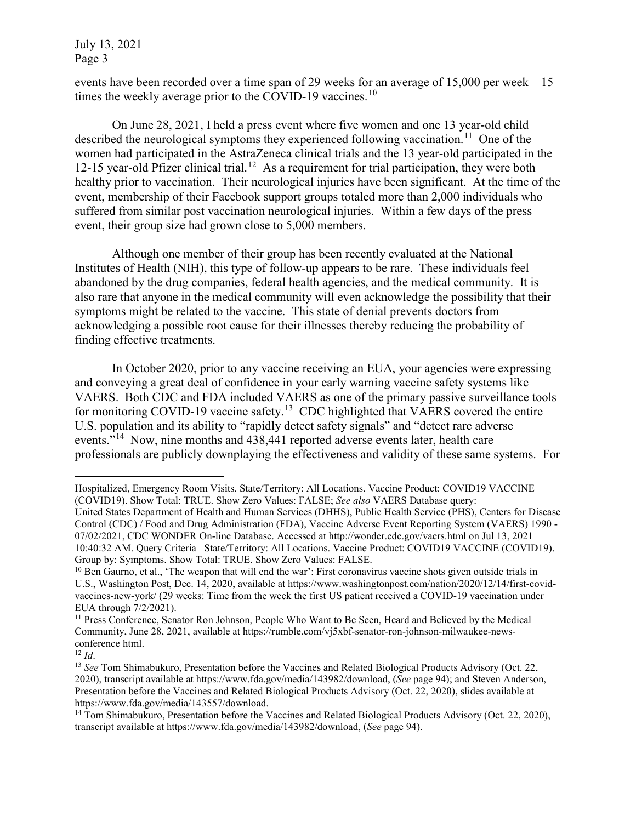July 13, 2021 Page 3

events have been recorded over a time span of 29 weeks for an average of 15,000 per week – 15 times the weekly average prior to the COVID-19 vaccines.<sup>10</sup>

On June 28, 2021, I held a press event where five women and one 13 year-old child described the neurological symptoms they experienced following vaccination.<sup>11</sup> One of the women had participated in the AstraZeneca clinical trials and the 13 year-old participated in the 12-15 year-old Pfizer clinical trial.<sup>12</sup> As a requirement for trial participation, they were both healthy prior to vaccination. Their neurological injuries have been significant. At the time of the event, membership of their Facebook support groups totaled more than 2,000 individuals who suffered from similar post vaccination neurological injuries. Within a few days of the press event, their group size had grown close to 5,000 members.

Although one member of their group has been recently evaluated at the National Institutes of Health (NIH), this type of follow-up appears to be rare. These individuals feel abandoned by the drug companies, federal health agencies, and the medical community. It is also rare that anyone in the medical community will even acknowledge the possibility that their symptoms might be related to the vaccine. This state of denial prevents doctors from acknowledging a possible root cause for their illnesses thereby reducing the probability of finding effective treatments.

In October 2020, prior to any vaccine receiving an EUA, your agencies were expressing and conveying a great deal of confidence in your early warning vaccine safety systems like VAERS. Both CDC and FDA included VAERS as one of the primary passive surveillance tools for monitoring COVID-19 vaccine safety.<sup>13</sup> CDC highlighted that VAERS covered the entire U.S. population and its ability to "rapidly detect safety signals" and "detect rare adverse events."14 Now, nine months and 438,441 reported adverse events later, health care professionals are publicly downplaying the effectiveness and validity of these same systems. For

 $\overline{a}$ Hospitalized, Emergency Room Visits. State/Territory: All Locations. Vaccine Product: COVID19 VACCINE (COVID19). Show Total: TRUE. Show Zero Values: FALSE; *See also* VAERS Database query:

United States Department of Health and Human Services (DHHS), Public Health Service (PHS), Centers for Disease Control (CDC) / Food and Drug Administration (FDA), Vaccine Adverse Event Reporting System (VAERS) 1990 - 07/02/2021, CDC WONDER On-line Database. Accessed at http://wonder.cdc.gov/vaers.html on Jul 13, 2021 10:40:32 AM. Query Criteria –State/Territory: All Locations. Vaccine Product: COVID19 VACCINE (COVID19). Group by: Symptoms. Show Total: TRUE. Show Zero Values: FALSE.

<sup>&</sup>lt;sup>10</sup> Ben Gaurno, et al., 'The weapon that will end the war': First coronavirus vaccine shots given outside trials in U.S., Washington Post, Dec. 14, 2020, available at https://www.washingtonpost.com/nation/2020/12/14/first-covidvaccines-new-york/ (29 weeks: Time from the week the first US patient received a COVID-19 vaccination under EUA through 7/2/2021).<br><sup>11</sup> Press Conference, Senator Ron Johnson, People Who Want to Be Seen, Heard and Believed by the Medical

Community, June 28, 2021, available at https://rumble.com/vj5xbf-senator-ron-johnson-milwaukee-newsconference html.

<sup>&</sup>lt;sup>12</sup> *Id.* 14 *Id.* 13 *See* Tom Shimabukuro, Presentation before the Vaccines and Related Biological Products Advisory (Oct. 22, 2020), transcript available at https://www.fda.gov/media/143982/download, (*See* page 94); and Steven Anderson, Presentation before the Vaccines and Related Biological Products Advisory (Oct. 22, 2020), slides available at https://www.fda.gov/media/143557/download.

<sup>&</sup>lt;sup>14</sup> Tom Shimabukuro, Presentation before the Vaccines and Related Biological Products Advisory (Oct. 22, 2020), transcript available at https://www.fda.gov/media/143982/download, (*See* page 94).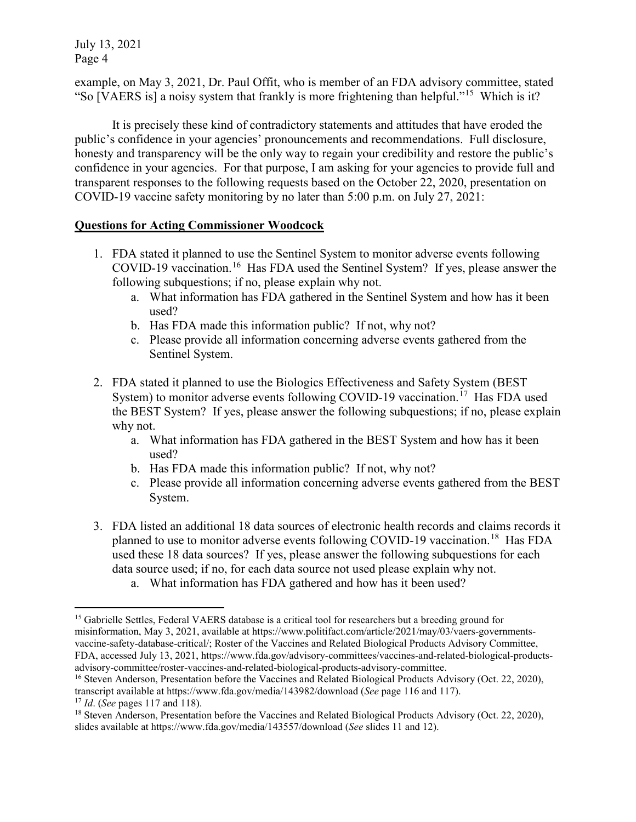July 13, 2021 Page 4

example, on May 3, 2021, Dr. Paul Offit, who is member of an FDA advisory committee, stated "So [VAERS is] a noisy system that frankly is more frightening than helpful."15 Which is it?

It is precisely these kind of contradictory statements and attitudes that have eroded the public's confidence in your agencies' pronouncements and recommendations. Full disclosure, honesty and transparency will be the only way to regain your credibility and restore the public's confidence in your agencies. For that purpose, I am asking for your agencies to provide full and transparent responses to the following requests based on the October 22, 2020, presentation on COVID-19 vaccine safety monitoring by no later than 5:00 p.m. on July 27, 2021:

## **Questions for Acting Commissioner Woodcock**

- 1. FDA stated it planned to use the Sentinel System to monitor adverse events following COVID-19 vaccination.<sup>16</sup> Has FDA used the Sentinel System? If yes, please answer the following subquestions; if no, please explain why not.
	- a. What information has FDA gathered in the Sentinel System and how has it been used?
	- b. Has FDA made this information public? If not, why not?
	- c. Please provide all information concerning adverse events gathered from the Sentinel System.
- 2. FDA stated it planned to use the Biologics Effectiveness and Safety System (BEST System) to monitor adverse events following COVID-19 vaccination.<sup>17</sup> Has FDA used the BEST System? If yes, please answer the following subquestions; if no, please explain why not.
	- a. What information has FDA gathered in the BEST System and how has it been used?
	- b. Has FDA made this information public? If not, why not?
	- c. Please provide all information concerning adverse events gathered from the BEST System.
- 3. FDA listed an additional 18 data sources of electronic health records and claims records it planned to use to monitor adverse events following COVID-19 vaccination.<sup>18</sup> Has FDA used these 18 data sources? If yes, please answer the following subquestions for each data source used; if no, for each data source not used please explain why not.
	- a. What information has FDA gathered and how has it been used?

 $\overline{a}$ <sup>15</sup> Gabrielle Settles, Federal VAERS database is a critical tool for researchers but a breeding ground for misinformation, May 3, 2021, available at https://www.politifact.com/article/2021/may/03/vaers-governmentsvaccine-safety-database-critical/; Roster of the Vaccines and Related Biological Products Advisory Committee, FDA, accessed July 13, 2021, https://www.fda.gov/advisory-committees/vaccines-and-related-biological-productsadvisory-committee/roster-vaccines-and-related-biological-products-advisory-committee.

<sup>16</sup> Steven Anderson, Presentation before the Vaccines and Related Biological Products Advisory (Oct. 22, 2020), transcript available at https://www.fda.gov/media/143982/download (*See* page 116 and 117). <sup>17</sup> *Id*. (*See* pages 117 and 118).

<sup>&</sup>lt;sup>18</sup> Steven Anderson, Presentation before the Vaccines and Related Biological Products Advisory (Oct. 22, 2020), slides available at https://www.fda.gov/media/143557/download (*See* slides 11 and 12).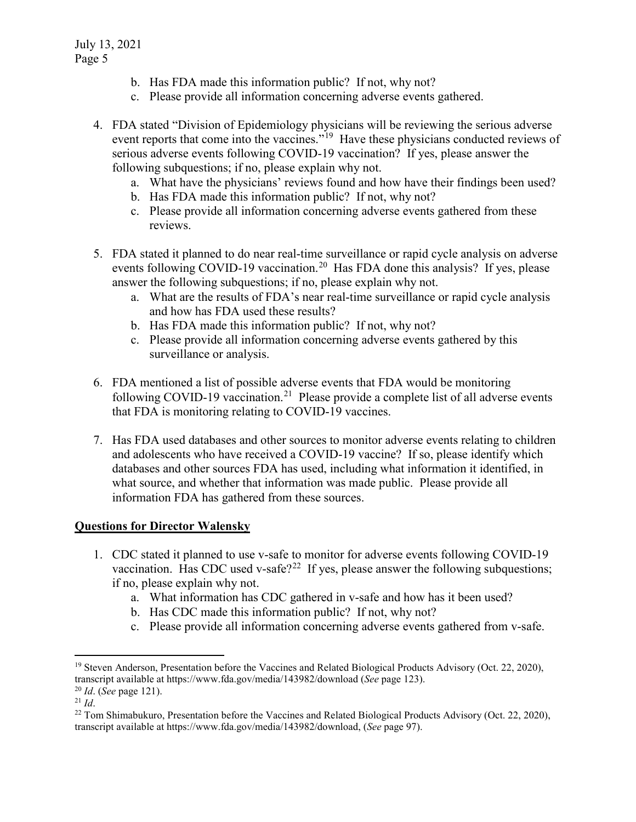- b. Has FDA made this information public? If not, why not?
- c. Please provide all information concerning adverse events gathered.
- 4. FDA stated "Division of Epidemiology physicians will be reviewing the serious adverse event reports that come into the vaccines."<sup>19</sup> Have these physicians conducted reviews of serious adverse events following COVID-19 vaccination? If yes, please answer the following subquestions; if no, please explain why not.
	- a. What have the physicians' reviews found and how have their findings been used?
	- b. Has FDA made this information public? If not, why not?
	- c. Please provide all information concerning adverse events gathered from these reviews.
- 5. FDA stated it planned to do near real-time surveillance or rapid cycle analysis on adverse events following COVID-19 vaccination.<sup>20</sup> Has FDA done this analysis? If yes, please answer the following subquestions; if no, please explain why not.
	- a. What are the results of FDA's near real-time surveillance or rapid cycle analysis and how has FDA used these results?
	- b. Has FDA made this information public? If not, why not?
	- c. Please provide all information concerning adverse events gathered by this surveillance or analysis.
- 6. FDA mentioned a list of possible adverse events that FDA would be monitoring following COVID-19 vaccination.<sup>21</sup> Please provide a complete list of all adverse events that FDA is monitoring relating to COVID-19 vaccines.
- 7. Has FDA used databases and other sources to monitor adverse events relating to children and adolescents who have received a COVID-19 vaccine? If so, please identify which databases and other sources FDA has used, including what information it identified, in what source, and whether that information was made public. Please provide all information FDA has gathered from these sources.

## **Questions for Director Walensky**

- 1. CDC stated it planned to use v-safe to monitor for adverse events following COVID-19 vaccination. Has CDC used v-safe?<sup>22</sup> If yes, please answer the following subquestions; if no, please explain why not.
	- a. What information has CDC gathered in v-safe and how has it been used?
	- b. Has CDC made this information public? If not, why not?
	- c. Please provide all information concerning adverse events gathered from v-safe.

<sup>&</sup>lt;sup>19</sup> Steven Anderson, Presentation before the Vaccines and Related Biological Products Advisory (Oct. 22, 2020), transcript available at https://www.fda.gov/media/143982/download (*See* page 123).

<sup>20</sup> *Id*. (*See* page 121).

<sup>21</sup> *Id*.

<sup>&</sup>lt;sup>22</sup> Tom Shimabukuro, Presentation before the Vaccines and Related Biological Products Advisory (Oct. 22, 2020), transcript available at https://www.fda.gov/media/143982/download, (*See* page 97).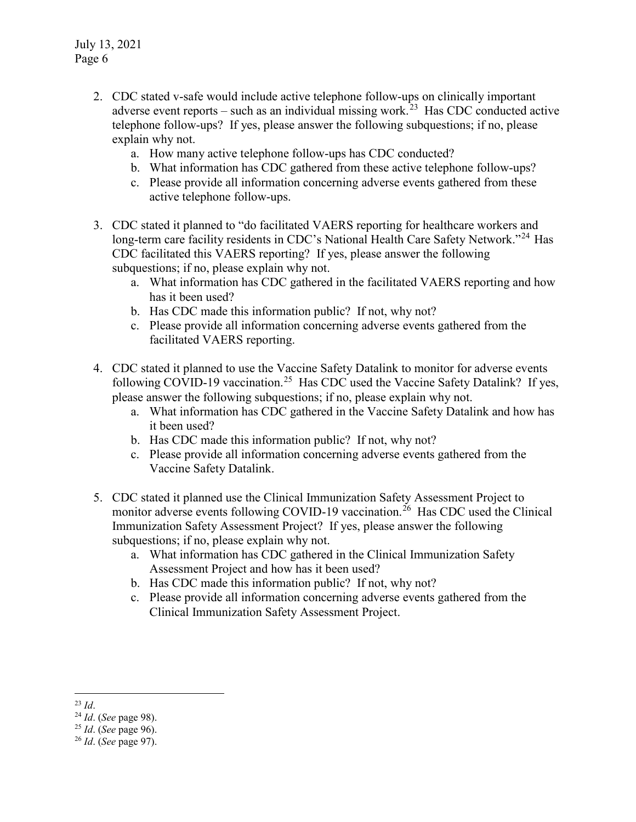- 2. CDC stated v-safe would include active telephone follow-ups on clinically important adverse event reports – such as an individual missing work.<sup>23</sup> Has CDC conducted active telephone follow-ups? If yes, please answer the following subquestions; if no, please explain why not.
	- a. How many active telephone follow-ups has CDC conducted?
	- b. What information has CDC gathered from these active telephone follow-ups?
	- c. Please provide all information concerning adverse events gathered from these active telephone follow-ups.
- 3. CDC stated it planned to "do facilitated VAERS reporting for healthcare workers and long-term care facility residents in CDC's National Health Care Safety Network."<sup>24</sup> Has CDC facilitated this VAERS reporting? If yes, please answer the following subquestions; if no, please explain why not.
	- a. What information has CDC gathered in the facilitated VAERS reporting and how has it been used?
	- b. Has CDC made this information public? If not, why not?
	- c. Please provide all information concerning adverse events gathered from the facilitated VAERS reporting.
- 4. CDC stated it planned to use the Vaccine Safety Datalink to monitor for adverse events following COVID-19 vaccination.<sup>25</sup> Has CDC used the Vaccine Safety Datalink? If yes, please answer the following subquestions; if no, please explain why not.
	- a. What information has CDC gathered in the Vaccine Safety Datalink and how has it been used?
	- b. Has CDC made this information public? If not, why not?
	- c. Please provide all information concerning adverse events gathered from the Vaccine Safety Datalink.
- 5. CDC stated it planned use the Clinical Immunization Safety Assessment Project to monitor adverse events following COVID-19 vaccination.<sup>26</sup> Has CDC used the Clinical Immunization Safety Assessment Project? If yes, please answer the following subquestions; if no, please explain why not.
	- a. What information has CDC gathered in the Clinical Immunization Safety Assessment Project and how has it been used?
	- b. Has CDC made this information public? If not, why not?
	- c. Please provide all information concerning adverse events gathered from the Clinical Immunization Safety Assessment Project.

 <sup>23</sup> *Id*.

<sup>24</sup> *Id*. (*See* page 98).

<sup>25</sup> *Id*. (*See* page 96).

<sup>26</sup> *Id*. (*See* page 97).